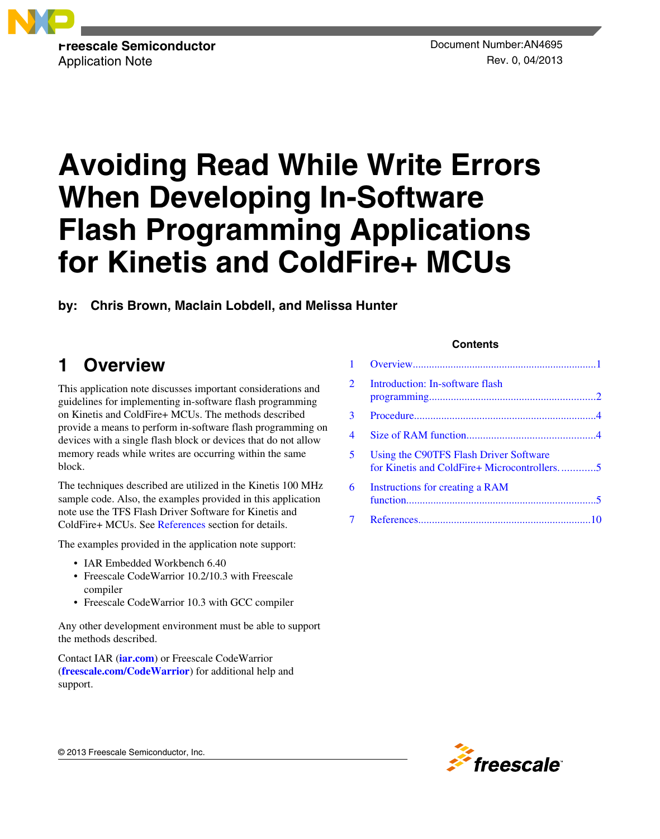

# **Avoiding Read While Write Errors When Developing In-Software Flash Programming Applications for Kinetis and ColdFire+ MCUs**

**by: Chris Brown, Maclain Lobdell, and Melissa Hunter**

# **1 Overview**

This application note discusses important considerations and guidelines for implementing in-software flash programming on Kinetis and ColdFire+ MCUs. The methods described provide a means to perform in-software flash programming on devices with a single flash block or devices that do not allow memory reads while writes are occurring within the same block.

The techniques described are utilized in the Kinetis 100 MHz sample code. Also, the examples provided in this application note use the TFS Flash Driver Software for Kinetis and ColdFire+ MCUs. See [References](#page-9-0) section for details.

The examples provided in the application note support:

- IAR Embedded Workbench 6.40
- Freescale CodeWarrior 10.2/10.3 with Freescale compiler
- Freescale CodeWarrior 10.3 with GCC compiler

Any other development environment must be able to support the methods described.

Contact IAR (**[iar.com](http://www.iar.com)**) or Freescale CodeWarrior (**[freescale.com/CodeWarrior](http://www.freescale.com/codewarrior)**) for additional help and support.

#### **Contents**

| $\mathcal{L}$            | Introduction: In-software flash                                                       |
|--------------------------|---------------------------------------------------------------------------------------|
| 3                        |                                                                                       |
| $\overline{\mathcal{A}}$ |                                                                                       |
| 5                        | Using the C90TFS Flash Driver Software<br>for Kinetis and ColdFire+ Microcontrollers5 |
| 6                        | Instructions for creating a RAM                                                       |
| 7                        |                                                                                       |



© 2013 Freescale Semiconductor, Inc.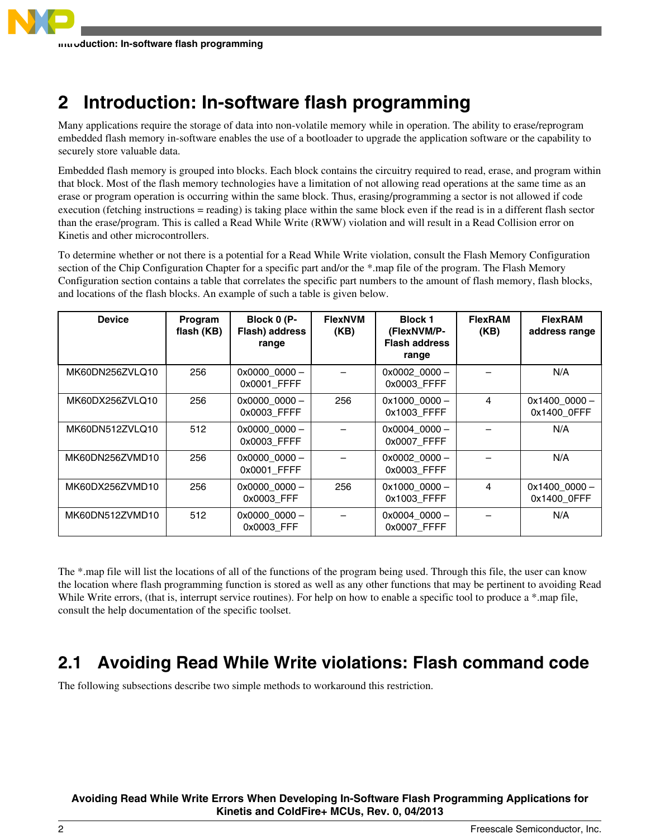# <span id="page-1-0"></span>**2 Introduction: In-software flash programming**

Many applications require the storage of data into non-volatile memory while in operation. The ability to erase/reprogram embedded flash memory in-software enables the use of a bootloader to upgrade the application software or the capability to securely store valuable data.

Embedded flash memory is grouped into blocks. Each block contains the circuitry required to read, erase, and program within that block. Most of the flash memory technologies have a limitation of not allowing read operations at the same time as an erase or program operation is occurring within the same block. Thus, erasing/programming a sector is not allowed if code execution (fetching instructions = reading) is taking place within the same block even if the read is in a different flash sector than the erase/program. This is called a Read While Write (RWW) violation and will result in a Read Collision error on Kinetis and other microcontrollers.

To determine whether or not there is a potential for a Read While Write violation, consult the Flash Memory Configuration section of the Chip Configuration Chapter for a specific part and/or the \*.map file of the program. The Flash Memory Configuration section contains a table that correlates the specific part numbers to the amount of flash memory, flash blocks, and locations of the flash blocks. An example of such a table is given below.

| <b>Device</b>   | Program<br>flash (KB) | Block 0 (P-<br>Flash) address<br>range | <b>FlexNVM</b><br>(KB) | <b>Block 1</b><br>(FlexNVM/P-<br><b>Flash address</b><br>range | <b>FlexRAM</b><br>(KB) | <b>FlexRAM</b><br>address range |
|-----------------|-----------------------|----------------------------------------|------------------------|----------------------------------------------------------------|------------------------|---------------------------------|
| MK60DN256ZVLQ10 | 256                   | 0x0000_0000 -<br>0x0001 FFFF           |                        | $0x0002$ 0000 -<br>0x0003 FFFF                                 |                        | N/A                             |
| MK60DX256ZVLQ10 | 256                   | $0x00000000 -$<br>0x0003 FFFF          | 256                    | 0x1000_0000 -<br>0x1003 FFFF                                   | 4                      | $0x1400000 -$<br>0x1400 OFFF    |
| MK60DN512ZVLQ10 | 512                   | $0x00000000 -$<br>0x0003 FFFF          |                        | $0x0004$ 0000 -<br>0x0007 FFFF                                 |                        | N/A                             |
| MK60DN256ZVMD10 | 256                   | $0x00000000 -$<br>0x0001 FFFF          |                        | $0x0002$ 0000 -<br>0x0003 FFFF                                 |                        | N/A                             |
| MK60DX256ZVMD10 | 256                   | $0x00000000 -$<br>0x0003 FFF           | 256                    | $0x1000000 -$<br>0x1003_FFFF                                   | 4                      | $0x1400000 -$<br>0x1400_0FFF    |
| MK60DN512ZVMD10 | 512                   | $0x00000000 -$<br>0x0003 FFF           |                        | $0x0004$ 0000 -<br>0x0007 FFFF                                 |                        | N/A                             |

The \*.map file will list the locations of all of the functions of the program being used. Through this file, the user can know the location where flash programming function is stored as well as any other functions that may be pertinent to avoiding Read While Write errors, (that is, interrupt service routines). For help on how to enable a specific tool to produce a \*.map file, consult the help documentation of the specific toolset.

# **2.1 Avoiding Read While Write violations: Flash command code**

The following subsections describe two simple methods to workaround this restriction.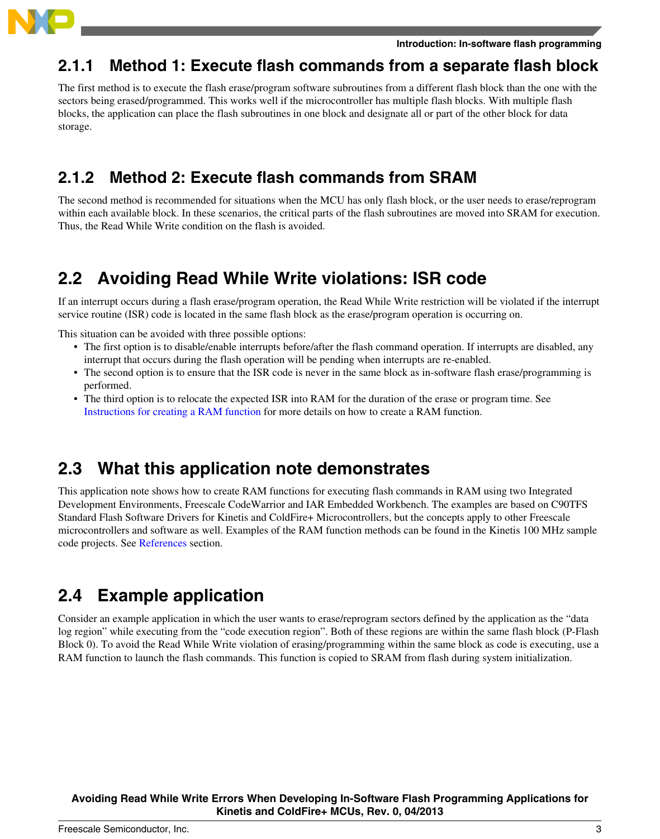

### **2.1.1 Method 1: Execute flash commands from a separate flash block**

The first method is to execute the flash erase/program software subroutines from a different flash block than the one with the sectors being erased/programmed. This works well if the microcontroller has multiple flash blocks. With multiple flash blocks, the application can place the flash subroutines in one block and designate all or part of the other block for data storage.

### **2.1.2 Method 2: Execute flash commands from SRAM**

The second method is recommended for situations when the MCU has only flash block, or the user needs to erase/reprogram within each available block. In these scenarios, the critical parts of the flash subroutines are moved into SRAM for execution. Thus, the Read While Write condition on the flash is avoided.

# **2.2 Avoiding Read While Write violations: ISR code**

If an interrupt occurs during a flash erase/program operation, the Read While Write restriction will be violated if the interrupt service routine (ISR) code is located in the same flash block as the erase/program operation is occurring on.

This situation can be avoided with three possible options:

- The first option is to disable/enable interrupts before/after the flash command operation. If interrupts are disabled, any interrupt that occurs during the flash operation will be pending when interrupts are re-enabled.
- The second option is to ensure that the ISR code is never in the same block as in-software flash erase/programming is performed.
- The third option is to relocate the expected ISR into RAM for the duration of the erase or program time. See [Instructions for creating a RAM function](#page-4-0) for more details on how to create a RAM function.

### **2.3 What this application note demonstrates**

This application note shows how to create RAM functions for executing flash commands in RAM using two Integrated Development Environments, Freescale CodeWarrior and IAR Embedded Workbench. The examples are based on C90TFS Standard Flash Software Drivers for Kinetis and ColdFire+ Microcontrollers, but the concepts apply to other Freescale microcontrollers and software as well. Examples of the RAM function methods can be found in the Kinetis 100 MHz sample code projects. See [References](#page-9-0) section.

## **2.4 Example application**

Consider an example application in which the user wants to erase/reprogram sectors defined by the application as the "data log region" while executing from the "code execution region". Both of these regions are within the same flash block (P-Flash Block 0). To avoid the Read While Write violation of erasing/programming within the same block as code is executing, use a RAM function to launch the flash commands. This function is copied to SRAM from flash during system initialization.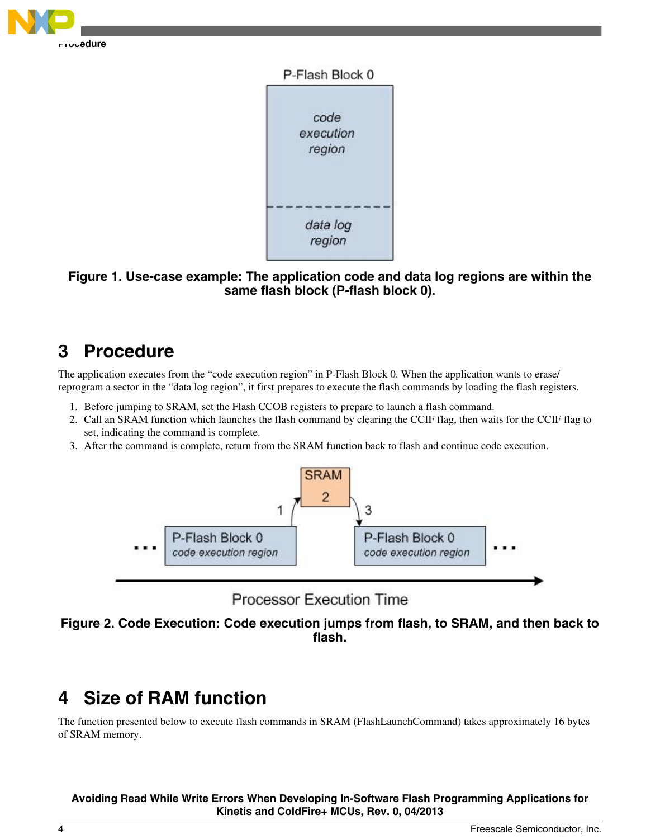<span id="page-3-0"></span>



**Figure 1. Use-case example: The application code and data log regions are within the same flash block (P-flash block 0).**

# **3 Procedure**

The application executes from the "code execution region" in P-Flash Block 0. When the application wants to erase/ reprogram a sector in the "data log region", it first prepares to execute the flash commands by loading the flash registers.

- 1. Before jumping to SRAM, set the Flash CCOB registers to prepare to launch a flash command.
- 2. Call an SRAM function which launches the flash command by clearing the CCIF flag, then waits for the CCIF flag to set, indicating the command is complete.
- 3. After the command is complete, return from the SRAM function back to flash and continue code execution.





**Figure 2. Code Execution: Code execution jumps from flash, to SRAM, and then back to flash.**

# **4 Size of RAM function**

The function presented below to execute flash commands in SRAM (FlashLaunchCommand) takes approximately 16 bytes of SRAM memory.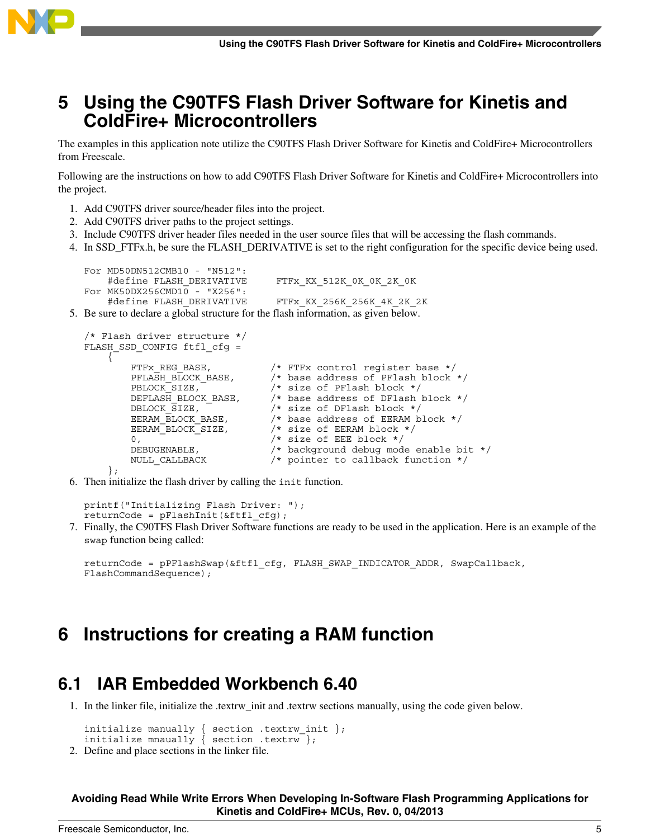<span id="page-4-0"></span>

### **5 Using the C90TFS Flash Driver Software for Kinetis and ColdFire+ Microcontrollers**

The examples in this application note utilize the C90TFS Flash Driver Software for Kinetis and ColdFire+ Microcontrollers from Freescale.

Following are the instructions on how to add C90TFS Flash Driver Software for Kinetis and ColdFire+ Microcontrollers into the project.

- 1. Add C90TFS driver source/header files into the project.
- 2. Add C90TFS driver paths to the project settings.
- 3. Include C90TFS driver header files needed in the user source files that will be accessing the flash commands.
- 4. In SSD FTFx.h, be sure the FLASH DERIVATIVE is set to the right configuration for the specific device being used.

```
For MD50DN512CMB10 - "N512":
       #define FLASH_DERIVATIVE FTFx KX_512K_0K_0K_2K_0K
  For MK50DX256CMD10 - "X256":
       #define FLASH_DERIVATIVE FTFx KX_256K_256K_4K_2K_2K
5. Be sure to declare a global structure for the flash information, as given below.
```

```
/* Flash driver structure */
FLASH_SSD_CONFIG ftfl_cfq =
       {
            FTFx_REG_BASE, \overline{\phantom{a}} /* FTFx control register base */<br>PFLASH BLOCK BASE, /* base address of PFlash block
                                                 /* base address of PFlash block */
            PBLOCK_SIZE, \overline{ } /* size of PFlash block */<br>DEFLASH BLOCK BASE, \overline{ } /* base address of DFlash
                                                 /* base address of DFlash block */
            DBLOCK SIZE, /* size of DFlash block */EERAM_BLOCK_BASE, \overline{\phantom{a}} /* base address of EERAM block */<br>EERAM_BLOCK_SIZE, \overline{\phantom{a}} /* size of EERAM block */
                                                  /* size of EERAM block */0, - - /* size of EEE block */<br>DEBUGENABLE. /* background debug mod
            DEBUGENABLE, \overline{\hspace{1cm}} /* background debug mode enable bit */<br>NULL CALLBACK /* pointer to callback function */
                                                  /* pointer to callback function */ };
```
6. Then initialize the flash driver by calling the init function.

printf("Initializing Flash Driver: ");  $returnCode = pFlashInit(&ff1 cfg);$ 

7. Finally, the C90TFS Flash Driver Software functions are ready to be used in the application. Here is an example of the swap function being called:

```
returnCode = pPFlashSwap(&ftfl_cfg, FLASH_SWAP_INDICATOR_ADDR, SwapCallback, 
FlashCommandSequence);
```
### **6 Instructions for creating a RAM function**

### **6.1 IAR Embedded Workbench 6.40**

1. In the linker file, initialize the .textrw\_init and .textrw sections manually, using the code given below.

```
initialize manually { section .textrw init };
initialize mnaually { section .textrw };
```
2. Define and place sections in the linker file.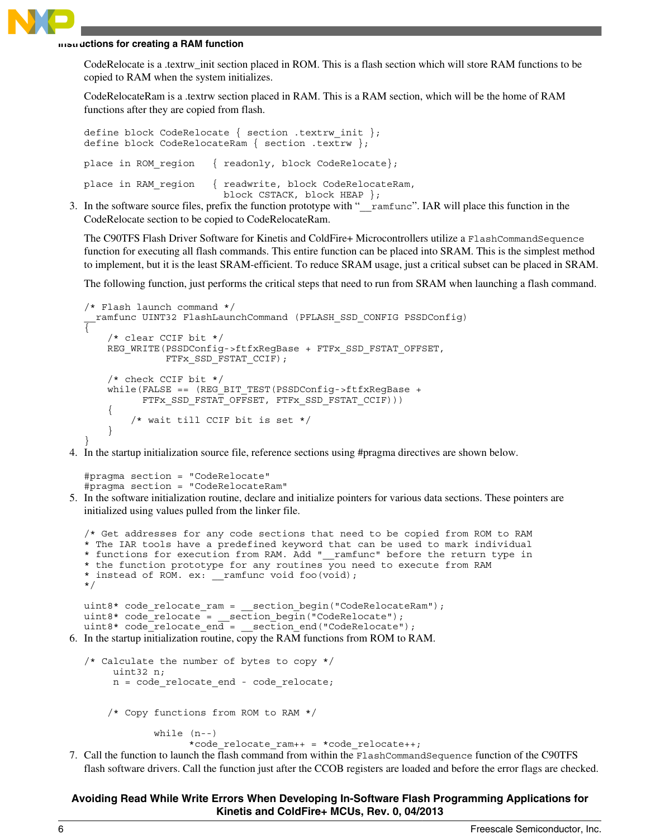#### **Instructions for creating a RAM function**

CodeRelocate is a .textrw\_init section placed in ROM. This is a flash section which will store RAM functions to be copied to RAM when the system initializes.

CodeRelocateRam is a .textrw section placed in RAM. This is a RAM section, which will be the home of RAM functions after they are copied from flash.

| define block CodeRelocate { section .textrw init };<br>define block CodeRelocateRam { section .textrw }; |
|----------------------------------------------------------------------------------------------------------|
| place in ROM region { readonly, block CodeRelocate};                                                     |
| place in RAM region { readwrite, block CodeRelocateRam,<br>block CSTACK, block HEAP };                   |

3. In the software source files, prefix the function prototype with "\_\_ramfunc". IAR will place this function in the CodeRelocate section to be copied to CodeRelocateRam.

The C90TFS Flash Driver Software for Kinetis and ColdFire+ Microcontrollers utilize a FlashCommandSequence function for executing all flash commands. This entire function can be placed into SRAM. This is the simplest method to implement, but it is the least SRAM-efficient. To reduce SRAM usage, just a critical subset can be placed in SRAM.

The following function, just performs the critical steps that need to run from SRAM when launching a flash command.

```
/* Flash launch command */
 ramfunc UINT32 FlashLaunchCommand (PFLASH SSD CONFIG PSSDConfig)
{ 
     /* clear CCIF bit */
     REG_WRITE(PSSDConfig->ftfxRegBase + FTFx_SSD_FSTAT_OFFSET, 
               FTFx_SSD_FSTAT_CCIF);
     /* check CCIF bit */
     while(FALSE == (REG_BIT_TEST(PSSDConfig->ftfxRegBase + 
           FTFx_SSD_FSTAT_OFFSET, FTFx_SSD_FSTAT_CCIF)))
     {
         /* wait till CCIF bit is set */
     }
}
```
4. In the startup initialization source file, reference sections using #pragma directives are shown below.

```
#pragma section = "CodeRelocate"
#pragma section = "CodeRelocateRam"
```
5. In the software initialization routine, declare and initialize pointers for various data sections. These pointers are initialized using values pulled from the linker file.

```
/* Get addresses for any code sections that need to be copied from ROM to RAM 
  * The IAR tools have a predefined keyword that can be used to mark individual
  * functions for execution from RAM. Add "__ramfunc" before the return type in
  * the function prototype for any routines you need to execute from RAM 
  * instead of ROM. ex: __ramfunc void foo(void);
  */
  uint8* code_relocate_ram = __section_begin("CodeRelocateRam");
  uint8* code_relocate = __section_begin("CodeRelocate");
  uint8* code_relocate_end = __section_end("CodeRelocate");
6. In the startup initialization routine, copy the RAM functions from ROM to RAM.
```

```
/* Calculate the number of bytes to copy */
      uint32 n;
      n = code_relocate_end - code_relocate;
     /* Copy functions from ROM to RAM */
             while (n--)
                  *code relocate ram++ = *code relocate++;
```
7. Call the function to launch the flash command from within the FlashCommandSequence function of the C90TFS flash software drivers. Call the function just after the CCOB registers are loaded and before the error flags are checked.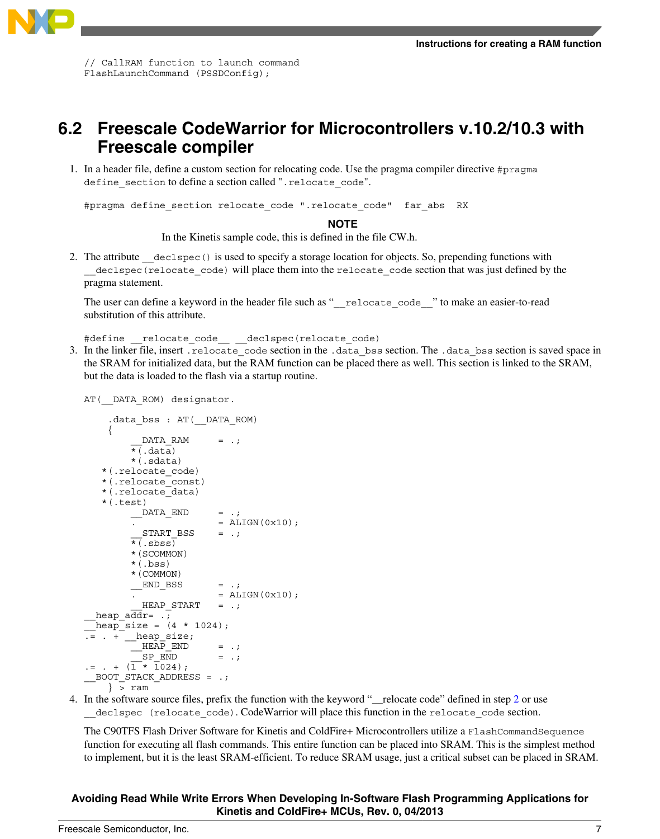

// CallRAM function to launch command FlashLaunchCommand (PSSDConfig);

### **6.2 Freescale CodeWarrior for Microcontrollers v.10.2/10.3 with Freescale compiler**

1. In a header file, define a custom section for relocating code. Use the pragma compiler directive #pragma define section to define a section called ".relocate code".

#pragma define\_section relocate\_code ".relocate\_code" far\_abs RX

#### **NOTE**

In the Kinetis sample code, this is defined in the file CW.h.

2. The attribute declspec() is used to specify a storage location for objects. So, prepending functions with declspec (relocate code) will place them into the relocate code section that was just defined by the pragma statement.

The user can define a keyword in the header file such as "\_\_relocate\_code\_\_" to make an easier-to-read substitution of this attribute.

#define \_\_relocate\_code\_\_ \_\_declspec(relocate\_code)

3. In the linker file, insert . relocate code section in the .data bss section. The .data bss section is saved space in the SRAM for initialized data, but the RAM function can be placed there as well. This section is linked to the SRAM, but the data is loaded to the flash via a startup routine.

```
AT( DATA ROM) designator.
```

```
 .data_bss : AT(__DATA_ROM)
     {
           DATA RAM = .;
         \overline{\star} (.data)
          *(.sdata)
    *(.relocate_code)
    *(.relocate_const)
    *(.relocate_data)
    *(.test)
         DATA END = .;
                          = ALIGN(0x10);
           START_BSS = .;\overline{\star} (. sbss)
          *(SCOMMON)
          *(.bss)
          *(COMMON)
          END BSS = .;= ALIGN(0x10);
           HEAP_START = .;heap \overline{\text{addr}} = .;
  heap size = (4 * 1024);
. = . + _heap_size;
        MEEA\overline{P} END = .:
           SP END = .;
:= . + (1 * 1024);
 __BOOT_STACK_ADDRESS = .;
     } > ram
```
4. In the software source files, prefix the function with the keyword "\_\_relocate code" defined in step 2 or use \_\_declspec (relocate\_code). CodeWarrior will place this function in the relocate\_code section.

The C90TFS Flash Driver Software for Kinetis and ColdFire+ Microcontrollers utilize a FlashCommandSequence function for executing all flash commands. This entire function can be placed into SRAM. This is the simplest method to implement, but it is the least SRAM-efficient. To reduce SRAM usage, just a critical subset can be placed in SRAM.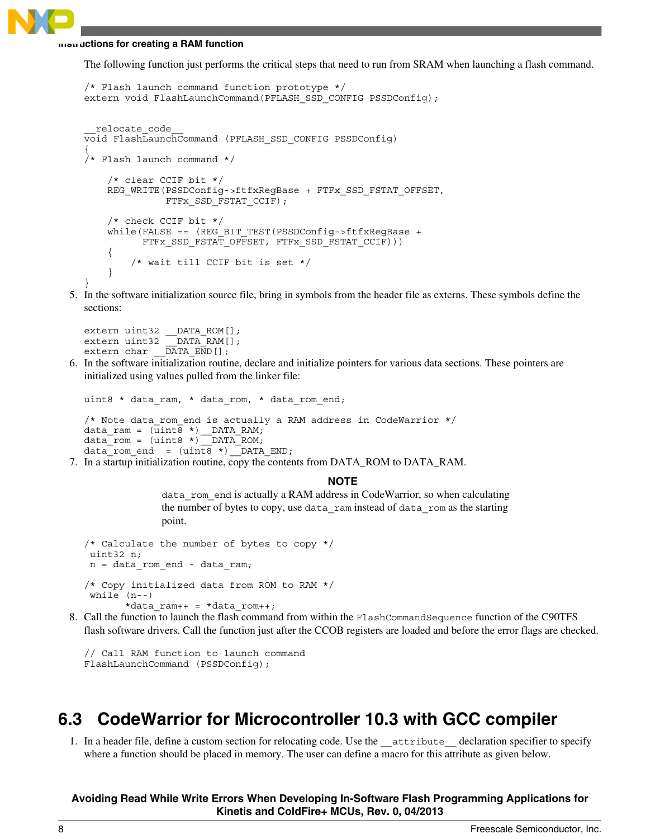#### **Instructions for creating a RAM function**

The following function just performs the critical steps that need to run from SRAM when launching a flash command.

```
/* Flash launch command function prototype */
extern void FlashLaunchCommand(PFLASH_SSD_CONFIG PSSDConfig);
  __relocate_code__
void FlashLaunchCommand (PFLASH_SSD_CONFIG PSSDConfig)
{
/* Flash launch command */
     /* clear CCIF bit */
     REG_WRITE(PSSDConfig->ftfxRegBase + FTFx_SSD_FSTAT_OFFSET, 
               FTFx_SSD_FSTAT_CCIF);
     /* check CCIF bit */
    while(FALSE == (REG_BIT_TEST(PSSDConfig->ftfxRegBase +
           FTFx_SSD_FSTAT_OFFSET, FTFx_SSD_FSTAT_CCIF)))
     {
         /* wait till CCIF bit is set */
     }
}
```
5. In the software initialization source file, bring in symbols from the header file as externs. These symbols define the sections:

```
extern uint32 __DATA_ROM[];
extern uint32 DATA RAM[];
extern char \overline{DATA} \overline{END}[];
```
6. In the software initialization routine, declare and initialize pointers for various data sections. These pointers are initialized using values pulled from the linker file:

```
uint8 * data ram, * data rom, * data rom end;
/* Note data_rom_end is actually a RAM address in CodeWarrior */
data_ram = (uint8 * ) DATA_RAM;
data_rom = (uint8 *)__DATA_ROM;
data\_rom\_end = (uint8 * ) DATA\_END;
```
7. In a startup initialization routine, copy the contents from DATA\_ROM to DATA\_RAM.

#### **NOTE**

data\_rom\_end is actually a RAM address in CodeWarrior, so when calculating the number of bytes to copy, use data\_ram instead of data\_rom as the starting point.

```
/* Calculate the number of bytes to copy */
 uint32 n;
 n = data_rom_end - data_ram;
/* Copy initialized data from ROM to RAM */
 while (n--)
       *data ram++ = *data rom++;
```
8. Call the function to launch the flash command from within the FlashCommandSequence function of the C90TFS flash software drivers. Call the function just after the CCOB registers are loaded and before the error flags are checked.

// Call RAM function to launch command FlashLaunchCommand (PSSDConfig);

### **6.3 CodeWarrior for Microcontroller 10.3 with GCC compiler**

1. In a header file, define a custom section for relocating code. Use the \_\_attribute\_\_ declaration specifier to specify where a function should be placed in memory. The user can define a macro for this attribute as given below.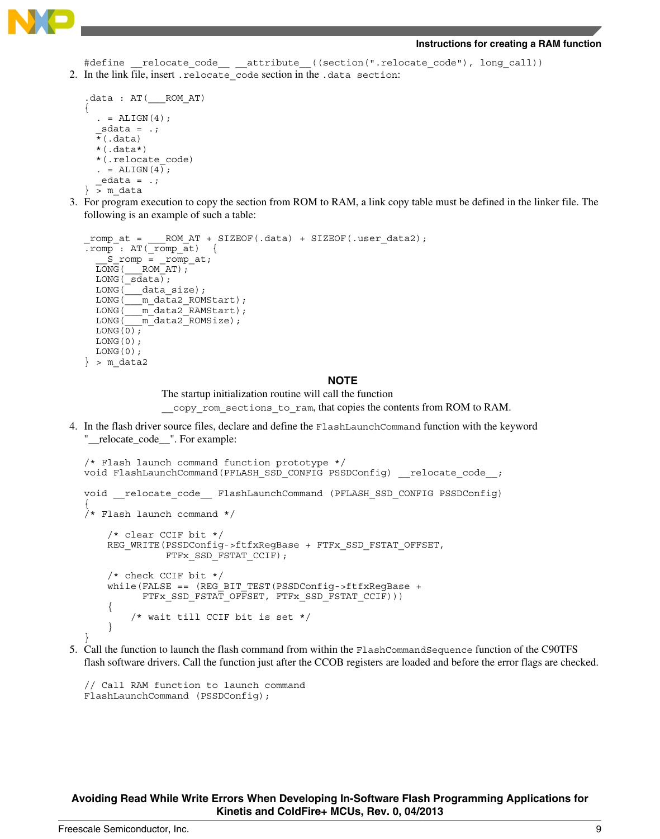

#### **Instructions for creating a RAM function**

```
#define __relocate_code__ __attribute__((section(".relocate_code"), long_call))
2. In the link file, insert . relocate code section in the .data section:
```

```
.data : AT(___ROM_AT)
{
  . = ALIGN(4);sdata = .;\overline{\star}(.data)
  *(.\text{data*}) *(.relocate_code)
  . = ALIGN(4);edata = .;\} > m data
```
3. For program execution to copy the section from ROM to RAM, a link copy table must be defined in the linker file. The following is an example of such a table:

```
romp at = ROM AT + SIZEOF(.data) + SIZEOF(.user data2);
.romp : AT( romp at)
     __S_romp = _romp_at;
  \overline{\text{LONG}} ( \overline{\text{ROM}} AT);
  LONG \sqrt{\text{sdata}};
 LONG(___data_size);
 LONG(___m_data2_ROMStart);
  LONG(__m_data2_RAMStart);
  LONG( m data2 ROMSize);
  \texttt{LONG}\left(\,\texttt{0}\,\right) ;
  LONG(0);
  LONG(0);
\} > m data2
```
#### **NOTE**

The startup initialization routine will call the function

copy rom sections to ram, that copies the contents from ROM to RAM.

4. In the flash driver source files, declare and define the FlashLaunchCommand function with the keyword "\_\_relocate\_code\_\_". For example:

```
/* Flash launch command function prototype */
void FlashLaunchCommand(PFLASH_SSD_CONFIG PSSDConfig) __________________________
void __relocate_code__ FlashLaunchCommand (PFLASH_SSD_CONFIG PSSDConfig)
{
/* Flash launch command */
     /* clear CCIF bit */
     REG_WRITE(PSSDConfig->ftfxRegBase + FTFx_SSD_FSTAT_OFFSET, 
              FTFx SSD FSTAT CCIF);
     /* check CCIF bit */
    while(FALSE == (REG_BIT_TEST(PSSDConfig->ftfxRegBase +
           FTFx_SSD_FSTAT_OFFSET, FTFx_SSD_FSTAT_CCIF)))
\{ /* wait till CCIF bit is set */
     }
}
```
5. Call the function to launch the flash command from within the FlashCommandSequence function of the C90TFS flash software drivers. Call the function just after the CCOB registers are loaded and before the error flags are checked.

```
// Call RAM function to launch command
FlashLaunchCommand (PSSDConfig);
```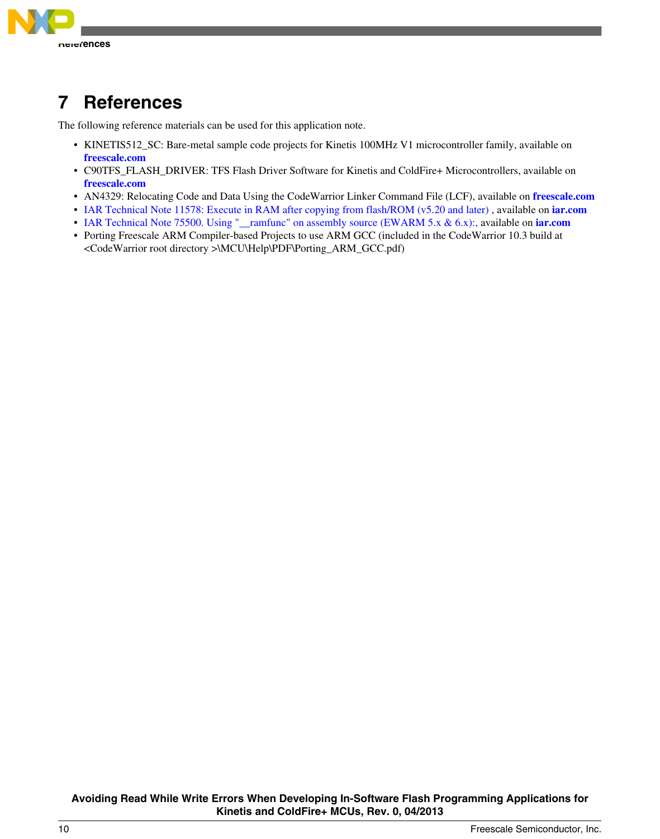<span id="page-9-0"></span>

# **7 References**

The following reference materials can be used for this application note.

- KINETIS512\_SC: Bare-metal sample code projects for Kinetis 100MHz V1 microcontroller family, available on **[freescale.com](http://www.freescale.com)**
- C90TFS\_FLASH\_DRIVER: TFS Flash Driver Software for Kinetis and ColdFire+ Microcontrollers, available on **[freescale.com](http://www.freescale.com)**
- AN4329: Relocating Code and Data Using the CodeWarrior Linker Command File (LCF), available on **[freescale.com](http://www.freescale.com)**
- [IAR Technical Note 11578: Execute in RAM after copying from flash/ROM \(v5.20 and later\)](http://supp.iar.com/Support/?note=11578&from=note+17934) , available on **[iar.com](http://www.iar.com)**
- [IAR Technical Note 75500. Using "\\_\\_ramfunc" on assembly source \(EWARM 5.x & 6.x\):, a](http://supp.iar.com/Support/?note=75500&from=note+11578)vailable on **[iar.com](http://www.iar.com)**
- Porting Freescale ARM Compiler-based Projects to use ARM GCC (included in the CodeWarrior 10.3 build at <CodeWarrior root directory >\MCU\Help\PDF\Porting\_ARM\_GCC.pdf)